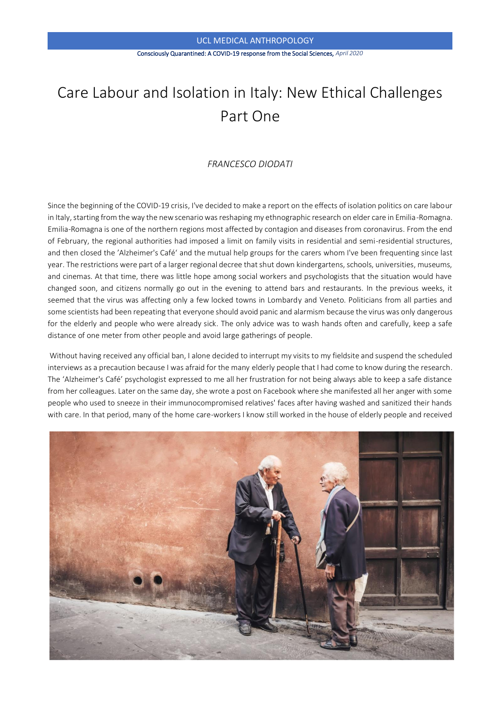#### Consciously Quarantined: A COVID-19 response from the Social Sciences, *April 2020*

# Care Labour and Isolation in Italy: New Ethical Challenges Part One

# *FRANCESCO DIODATI*

Since the beginning of the COVID-19 crisis, I've decided to make a report on the effects of isolation politics on care labour in Italy, starting from the way the new scenario was reshaping my ethnographic research on elder care in Emilia-Romagna. Emilia-Romagna is one of the northern regions most affected by contagion and diseases from coronavirus. From the end of February, the regional authorities had imposed a limit on family visits in residential and semi-residential structures, and then closed the 'Alzheimer's Caféʻ and the mutual help groups for the carers whom I've been frequenting since last year. The restrictions were part of a larger regional decree that shut down kindergartens, schools, universities, museums, and cinemas. At that time, there was little hope among social workers and psychologists that the situation would have changed soon, and citizens normally go out in the evening to attend bars and restaurants. In the previous weeks, it seemed that the virus was affecting only a few locked towns in Lombardy and Veneto. Politicians from all parties and some scientists had been repeating that everyone should avoid panic and alarmism because the virus was only dangerous for the elderly and people who were already sick. The only advice was to wash hands often and carefully, keep a safe distance of one meter from other people and avoid large gatherings of people.

Without having received any official ban, I alone decided to interrupt my visits to my fieldsite and suspend the scheduled interviews as a precaution because I was afraid for the many elderly people that I had come to know during the research. The ʻAlzheimer's Café' psychologist expressed to me all her frustration for not being always able to keep a safe distance from her colleagues. Later on the same day, she wrote a post on Facebook where she manifested all her anger with some people who used to sneeze in their immunocompromised relatives' faces after having washed and sanitized their hands with care. In that period, many of the home care-workers I know still worked in the house of elderly people and received

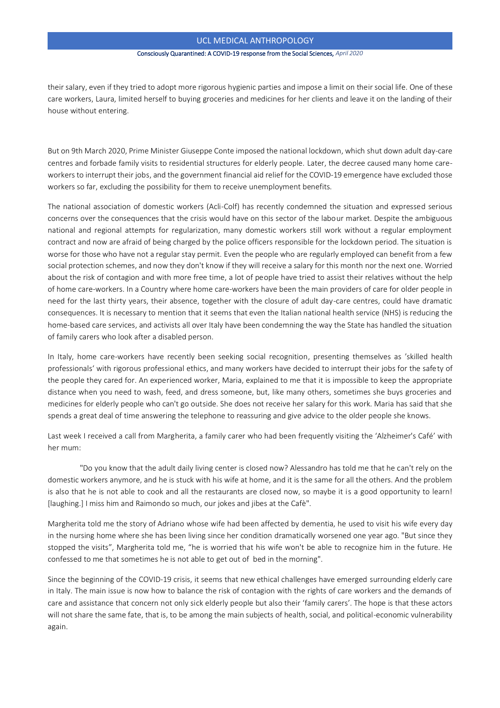#### Consciously Quarantined: A COVID-19 response from the Social Sciences, *April 2020*

their salary, even if they tried to adopt more rigorous hygienic parties and impose a limit on their social life. One of these care workers, Laura, limited herself to buying groceries and medicines for her clients and leave it on the landing of their house without entering.

But on 9th March 2020, Prime Minister Giuseppe Conte imposed the national lockdown, which shut down adult day-care centres and forbade family visits to residential structures for elderly people. Later, the decree caused many home careworkers to interrupt their jobs, and the government financial aid relief for the COVID-19 emergence have excluded those workers so far, excluding the possibility for them to receive unemployment benefits.

The national association of domestic workers (Acli-Colf) has recently condemned the situation and expressed serious concerns over the consequences that the crisis would have on this sector of the labour market. Despite the ambiguous national and regional attempts for regularization, many domestic workers still work without a regular employment contract and now are afraid of being charged by the police officers responsible for the lockdown period. The situation is worse for those who have not a regular stay permit. Even the people who are regularly employed can benefit from a few social protection schemes, and now they don't know if they will receive a salary for this month nor the next one. Worried about the risk of contagion and with more free time, a lot of people have tried to assist their relatives without the help of home care-workers. In a Country where home care-workers have been the main providers of care for older people in need for the last thirty years, their absence, together with the closure of adult day-care centres, could have dramatic consequences. It is necessary to mention that it seems that even the Italian national health service (NHS) is reducing the home-based care services, and activists all over Italy have been condemning the way the State has handled the situation of family carers who look after a disabled person.

In Italy, home care-workers have recently been seeking social recognition, presenting themselves as 'skilled health professionalsʻ with rigorous professional ethics, and many workers have decided to interrupt their jobs for the safety of the people they cared for. An experienced worker, Maria, explained to me that it is impossible to keep the appropriate distance when you need to wash, feed, and dress someone, but, like many others, sometimes she buys groceries and medicines for elderly people who can't go outside. She does not receive her salary for this work. Maria has said that she spends a great deal of time answering the telephone to reassuring and give advice to the older people she knows.

Last week I received a call from Margherita, a family carer who had been frequently visiting the 'Alzheimer's Café' with her mum:

 "Do you know that the adult daily living center is closed now? Alessandro has told me that he can't rely on the domestic workers anymore, and he is stuck with his wife at home, and it is the same for all the others. And the problem is also that he is not able to cook and all the restaurants are closed now, so maybe it is a good opportunity to learn! [laughing.] I miss him and Raimondo so much, our jokes and jibes at the Cafè".

Margherita told me the story of Adriano whose wife had been affected by dementia, he used to visit his wife every day in the nursing home where she has been living since her condition dramatically worsened one year ago. "But since they stopped the visits", Margherita told me, "he is worried that his wife won't be able to recognize him in the future. He confessed to me that sometimes he is not able to get out of bed in the morning".

Since the beginning of the COVID-19 crisis, it seems that new ethical challenges have emerged surrounding elderly care in Italy. The main issue is now how to balance the risk of contagion with the rights of care workers and the demands of care and assistance that concern not only sick elderly people but also their ʻfamily carers'. The hope is that these actors will not share the same fate, that is, to be among the main subjects of health, social, and political-economic vulnerability again.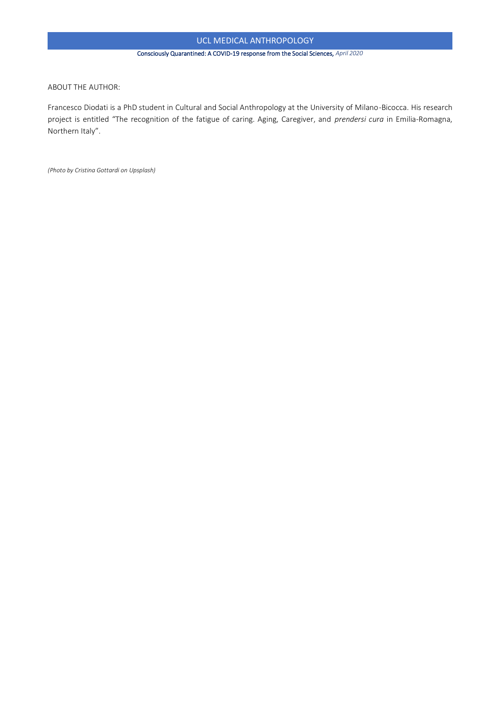## Consciously Quarantined: A COVID-19 response from the Social Sciences, *April 2020*

ABOUT THE AUTHOR:

Francesco Diodati is a PhD student in Cultural and Social Anthropology at the University of Milano-Bicocca. His research project is entitled "The recognition of the fatigue of caring. Aging, Caregiver, and *prendersi cura* in Emilia-Romagna, Northern Italy".

*(Photo by Cristina Gottardi on Upsplash)*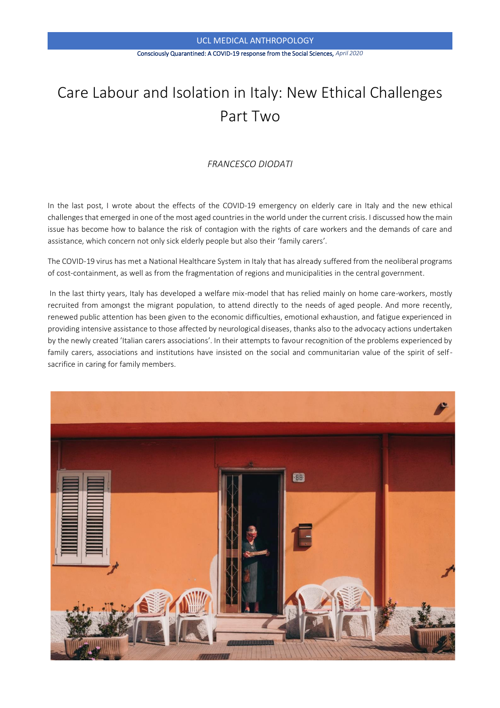#### Consciously Quarantined: A COVID-19 response from the Social Sciences, *April 2020*

# Care Labour and Isolation in Italy: New Ethical Challenges Part Two

# *FRANCESCO DIODATI*

In the last post, I wrote about the effects of the COVID-19 emergency on elderly care in Italy and the new ethical challenges that emerged in one of the most aged countries in the world under the current crisis. I discussed how the main issue has become how to balance the risk of contagion with the rights of care workers and the demands of care and assistance, which concern not only sick elderly people but also their ʻfamily carers'.

The COVID-19 virus has met a National Healthcare System in Italy that has already suffered from the neoliberal programs of cost-containment, as well as from the fragmentation of regions and municipalities in the central government.

In the last thirty years, Italy has developed a welfare mix-model that has relied mainly on home care-workers, mostly recruited from amongst the migrant population, to attend directly to the needs of aged people. And more recently, renewed public attention has been given to the economic difficulties, emotional exhaustion, and fatigue experienced in providing intensive assistance to those affected by neurological diseases, thanks also to the advocacy actions undertaken by the newly created 'Italian carers associations'. In their attempts to favour recognition of the problems experienced by family carers, associations and institutions have insisted on the social and communitarian value of the spirit of selfsacrifice in caring for family members.

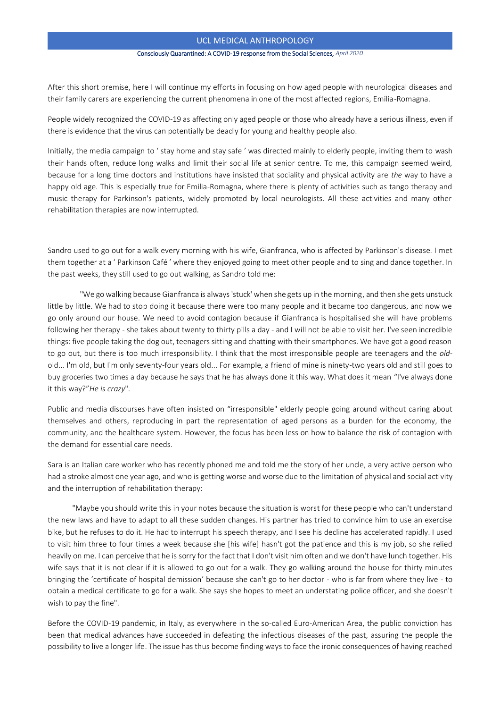#### Consciously Quarantined: A COVID-19 response from the Social Sciences, *April 2020*

After this short premise, here I will continue my efforts in focusing on how aged people with neurological diseases and their family carers are experiencing the current phenomena in one of the most affected regions, Emilia-Romagna.

People widely recognized the COVID-19 as affecting only aged people or those who already have a serious illness, even if there is evidence that the virus can potentially be deadly for young and healthy people also.

Initially, the media campaign to ʻ stay home and stay safe ' was directed mainly to elderly people, inviting them to wash their hands often, reduce long walks and limit their social life at senior centre. To me, this campaign seemed weird, because for a long time doctors and institutions have insisted that sociality and physical activity are *the* way to have a happy old age. This is especially true for Emilia-Romagna, where there is plenty of activities such as tango therapy and music therapy for Parkinson's patients, widely promoted by local neurologists. All these activities and many other rehabilitation therapies are now interrupted.

Sandro used to go out for a walk every morning with his wife, Gianfranca, who is affected by Parkinson's disease. I met them together at a ʻ Parkinson Café ' where they enjoyed going to meet other people and to sing and dance together. In the past weeks, they still used to go out walking, as Sandro told me:

 "We go walking because Gianfranca is always 'stuck' when she gets up in the morning, and then she gets unstuck little by little. We had to stop doing it because there were too many people and it became too dangerous, and now we go only around our house. We need to avoid contagion because if Gianfranca is hospitalised she will have problems following her therapy - she takes about twenty to thirty pills a day - and I will not be able to visit her. I've seen incredible things: five people taking the dog out, teenagers sitting and chatting with their smartphones. We have got a good reason to go out, but there is too much irresponsibility. I think that the most irresponsible people are teenagers and the *old*old... I'm old, but I'm only seventy-four years old... For example, a friend of mine is ninety-two years old and still goes to buy groceries two times a day because he says that he has always done it this way. What does it mean "I've always done it this way?"*He is crazy*".

Public and media discourses have often insisted on "irresponsible" elderly people going around without caring about themselves and others, reproducing in part the representation of aged persons as a burden for the economy, the community, and the healthcare system. However, the focus has been less on how to balance the risk of contagion with the demand for essential care needs.

Sara is an Italian care worker who has recently phoned me and told me the story of her uncle, a very active person who had a stroke almost one year ago, and who is getting worse and worse due to the limitation of physical and social activity and the interruption of rehabilitation therapy:

 "Maybe you should write this in your notes because the situation is worst for these people who can't understand the new laws and have to adapt to all these sudden changes. His partner has tried to convince him to use an exercise bike, but he refuses to do it. He had to interrupt his speech therapy, and I see his decline has accelerated rapidly. I used to visit him three to four times a week because she [his wife] hasn't got the patience and this is my job, so she relied heavily on me. I can perceive that he is sorry for the fact that I don't visit him often and we don't have lunch together. His wife says that it is not clear if it is allowed to go out for a walk. They go walking around the house for thirty minutes bringing the ʻcertificate of hospital demission' because she can't go to her doctor - who is far from where they live - to obtain a medical certificate to go for a walk. She says she hopes to meet an understating police officer, and she doesn't wish to pay the fine".

Before the COVID-19 pandemic, in Italy, as everywhere in the so-called Euro-American Area, the public conviction has been that medical advances have succeeded in defeating the infectious diseases of the past, assuring the people the possibility to live a longer life. The issue has thus become finding ways to face the ironic consequences of having reached